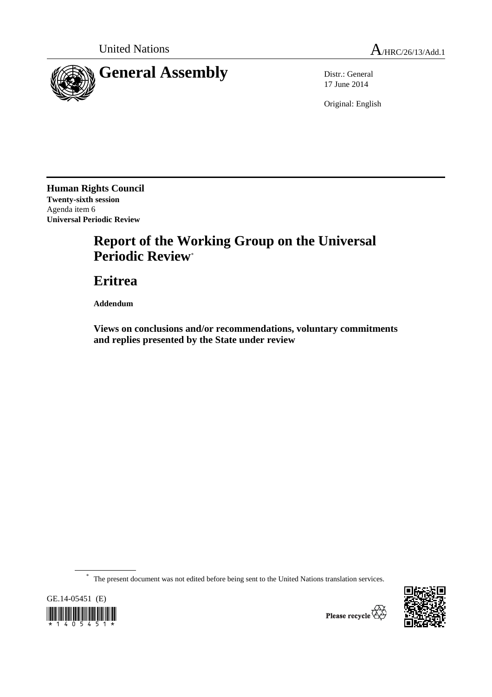

17 June 2014

Original: English

**Human Rights Council Twenty-sixth session**  Agenda item 6 **Universal Periodic Review** 

# **Report of the Working Group on the Universal Periodic Review**\*

 **Eritrea** 

 **Addendum** 

 **Views on conclusions and/or recommendations, voluntary commitments and replies presented by the State under review** 

\* The present document was not edited before being sent to the United Nations translation services.



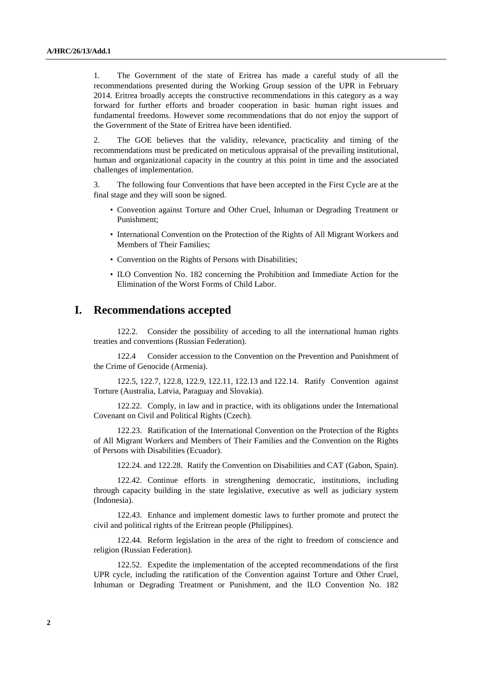1. The Government of the state of Eritrea has made a careful study of all the recommendations presented during the Working Group session of the UPR in February 2014. Eritrea broadly accepts the constructive recommendations in this category as a way forward for further efforts and broader cooperation in basic human right issues and fundamental freedoms. However some recommendations that do not enjoy the support of the Government of the State of Eritrea have been identified.

2. The GOE believes that the validity, relevance, practicality and timing of the recommendations must be predicated on meticulous appraisal of the prevailing institutional, human and organizational capacity in the country at this point in time and the associated challenges of implementation.

3. The following four Conventions that have been accepted in the First Cycle are at the final stage and they will soon be signed.

- Convention against Torture and Other Cruel, Inhuman or Degrading Treatment or Punishment;
- International Convention on the Protection of the Rights of All Migrant Workers and Members of Their Families;
- Convention on the Rights of Persons with Disabilities;
- ILO Convention No. 182 concerning the Prohibition and Immediate Action for the Elimination of the Worst Forms of Child Labor.

## **I. Recommendations accepted**

122.2. Consider the possibility of acceding to all the international human rights treaties and conventions (Russian Federation).

122.4 Consider accession to the Convention on the Prevention and Punishment of the Crime of Genocide (Armenia).

122.5, 122.7, 122.8, 122.9, 122.11, 122.13 and 122.14. Ratify Convention against Torture (Australia, Latvia, Paraguay and Slovakia).

122.22. Comply, in law and in practice, with its obligations under the International Covenant on Civil and Political Rights (Czech).

122.23. Ratification of the International Convention on the Protection of the Rights of All Migrant Workers and Members of Their Families and the Convention on the Rights of Persons with Disabilities (Ecuador).

122.24. and 122.28. Ratify the Convention on Disabilities and CAT (Gabon, Spain).

122.42. Continue efforts in strengthening democratic, institutions, including through capacity building in the state legislative, executive as well as judiciary system (Indonesia).

122.43. Enhance and implement domestic laws to further promote and protect the civil and political rights of the Eritrean people (Philippines).

122.44. Reform legislation in the area of the right to freedom of conscience and religion (Russian Federation).

122.52. Expedite the implementation of the accepted recommendations of the first UPR cycle, including the ratification of the Convention against Torture and Other Cruel, Inhuman or Degrading Treatment or Punishment, and the ILO Convention No. 182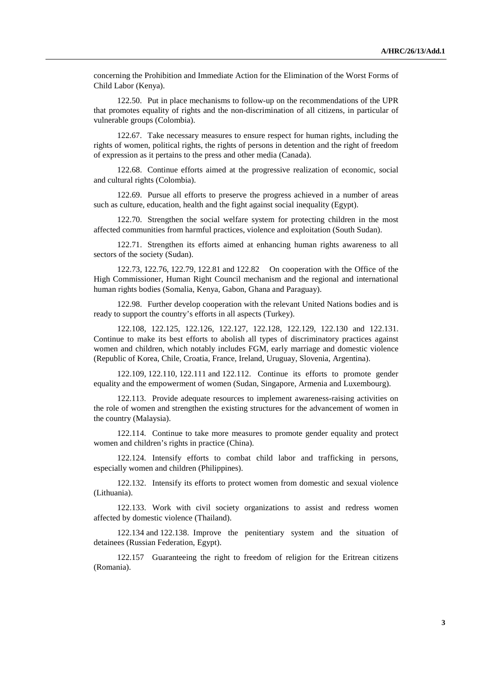concerning the Prohibition and Immediate Action for the Elimination of the Worst Forms of Child Labor (Kenya).

122.50. Put in place mechanisms to follow-up on the recommendations of the UPR that promotes equality of rights and the non-discrimination of all citizens, in particular of vulnerable groups (Colombia).

122.67. Take necessary measures to ensure respect for human rights, including the rights of women, political rights, the rights of persons in detention and the right of freedom of expression as it pertains to the press and other media (Canada).

122.68. Continue efforts aimed at the progressive realization of economic, social and cultural rights (Colombia).

122.69. Pursue all efforts to preserve the progress achieved in a number of areas such as culture, education, health and the fight against social inequality (Egypt).

122.70. Strengthen the social welfare system for protecting children in the most affected communities from harmful practices, violence and exploitation (South Sudan).

122.71. Strengthen its efforts aimed at enhancing human rights awareness to all sectors of the society (Sudan).

122.73, 122.76, 122.79, 122.81 and 122.82 On cooperation with the Office of the High Commissioner, Human Right Council mechanism and the regional and international human rights bodies (Somalia, Kenya, Gabon, Ghana and Paraguay).

122.98. Further develop cooperation with the relevant United Nations bodies and is ready to support the country's efforts in all aspects (Turkey).

122.108, 122.125, 122.126, 122.127, 122.128, 122.129, 122.130 and 122.131. Continue to make its best efforts to abolish all types of discriminatory practices against women and children, which notably includes FGM, early marriage and domestic violence (Republic of Korea, Chile, Croatia, France, Ireland, Uruguay, Slovenia, Argentina).

122.109, 122.110, 122.111 and 122.112. Continue its efforts to promote gender equality and the empowerment of women (Sudan, Singapore, Armenia and Luxembourg).

122.113. Provide adequate resources to implement awareness-raising activities on the role of women and strengthen the existing structures for the advancement of women in the country (Malaysia).

122.114. Continue to take more measures to promote gender equality and protect women and children's rights in practice (China).

122.124. Intensify efforts to combat child labor and trafficking in persons, especially women and children (Philippines).

122.132. Intensify its efforts to protect women from domestic and sexual violence (Lithuania).

122.133. Work with civil society organizations to assist and redress women affected by domestic violence (Thailand).

122.134 and 122.138. Improve the penitentiary system and the situation of detainees (Russian Federation, Egypt).

122.157 Guaranteeing the right to freedom of religion for the Eritrean citizens (Romania).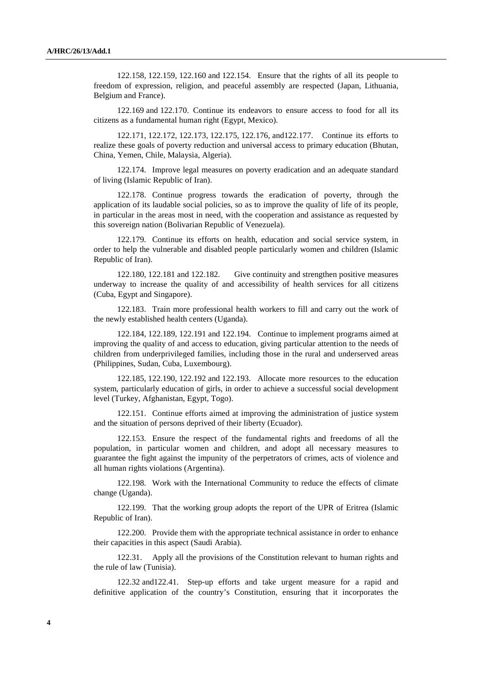122.158, 122.159, 122.160 and 122.154. Ensure that the rights of all its people to freedom of expression, religion, and peaceful assembly are respected (Japan, Lithuania, Belgium and France).

122.169 and 122.170. Continue its endeavors to ensure access to food for all its citizens as a fundamental human right (Egypt, Mexico).

122.171, 122.172, 122.173, 122.175, 122.176, and122.177. Continue its efforts to realize these goals of poverty reduction and universal access to primary education (Bhutan, China, Yemen, Chile, Malaysia, Algeria).

122.174. Improve legal measures on poverty eradication and an adequate standard of living (Islamic Republic of Iran).

122.178. Continue progress towards the eradication of poverty, through the application of its laudable social policies, so as to improve the quality of life of its people, in particular in the areas most in need, with the cooperation and assistance as requested by this sovereign nation (Bolivarian Republic of Venezuela).

122.179. Continue its efforts on health, education and social service system, in order to help the vulnerable and disabled people particularly women and children (Islamic Republic of Iran).

122.180, 122.181 and 122.182. Give continuity and strengthen positive measures underway to increase the quality of and accessibility of health services for all citizens (Cuba, Egypt and Singapore).

122.183. Train more professional health workers to fill and carry out the work of the newly established health centers (Uganda).

122.184, 122.189, 122.191 and 122.194. Continue to implement programs aimed at improving the quality of and access to education, giving particular attention to the needs of children from underprivileged families, including those in the rural and underserved areas (Philippines, Sudan, Cuba, Luxembourg).

122.185, 122.190, 122.192 and 122.193. Allocate more resources to the education system, particularly education of girls, in order to achieve a successful social development level (Turkey, Afghanistan, Egypt, Togo).

122.151. Continue efforts aimed at improving the administration of justice system and the situation of persons deprived of their liberty (Ecuador).

122.153. Ensure the respect of the fundamental rights and freedoms of all the population, in particular women and children, and adopt all necessary measures to guarantee the fight against the impunity of the perpetrators of crimes, acts of violence and all human rights violations (Argentina).

122.198. Work with the International Community to reduce the effects of climate change (Uganda).

122.199. That the working group adopts the report of the UPR of Eritrea (Islamic Republic of Iran).

122.200. Provide them with the appropriate technical assistance in order to enhance their capacities in this aspect (Saudi Arabia).

122.31. Apply all the provisions of the Constitution relevant to human rights and the rule of law (Tunisia).

122.32 and122.41. Step-up efforts and take urgent measure for a rapid and definitive application of the country's Constitution, ensuring that it incorporates the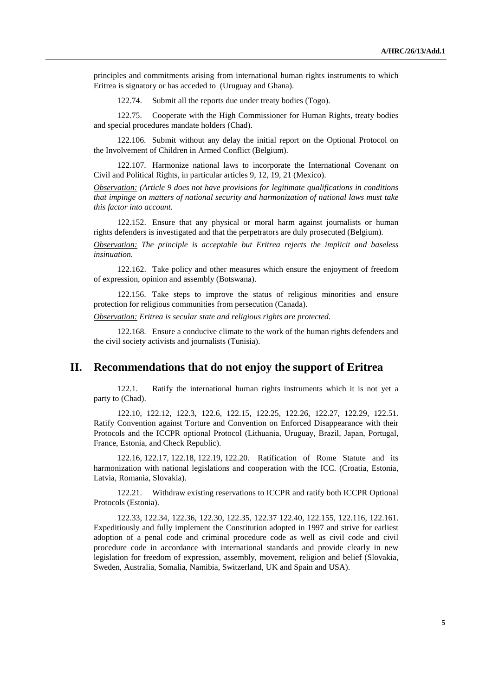principles and commitments arising from international human rights instruments to which Eritrea is signatory or has acceded to (Uruguay and Ghana).

122.74. Submit all the reports due under treaty bodies (Togo).

122.75. Cooperate with the High Commissioner for Human Rights, treaty bodies and special procedures mandate holders (Chad).

122.106. Submit without any delay the initial report on the Optional Protocol on the Involvement of Children in Armed Conflict (Belgium).

122.107. Harmonize national laws to incorporate the International Covenant on Civil and Political Rights, in particular articles 9, 12, 19, 21 (Mexico).

*Observation: (Article 9 does not have provisions for legitimate qualifications in conditions that impinge on matters of national security and harmonization of national laws must take this factor into account.* 

122.152. Ensure that any physical or moral harm against journalists or human rights defenders is investigated and that the perpetrators are duly prosecuted (Belgium).

*Observation: The principle is acceptable but Eritrea rejects the implicit and baseless insinuation.* 

122.162. Take policy and other measures which ensure the enjoyment of freedom of expression, opinion and assembly (Botswana).

122.156. Take steps to improve the status of religious minorities and ensure protection for religious communities from persecution (Canada).

*Observation: Eritrea is secular state and religious rights are protected.* 

122.168. Ensure a conducive climate to the work of the human rights defenders and the civil society activists and journalists (Tunisia).

## **II. Recommendations that do not enjoy the support of Eritrea**

122.1. Ratify the international human rights instruments which it is not yet a party to (Chad).

122.10, 122.12, 122.3, 122.6, 122.15, 122.25, 122.26, 122.27, 122.29, 122.51. Ratify Convention against Torture and Convention on Enforced Disappearance with their Protocols and the ICCPR optional Protocol (Lithuania, Uruguay, Brazil, Japan, Portugal, France, Estonia, and Check Republic).

122.16, 122.17, 122.18, 122.19, 122.20. Ratification of Rome Statute and its harmonization with national legislations and cooperation with the ICC. (Croatia, Estonia, Latvia, Romania, Slovakia).

122.21. Withdraw existing reservations to ICCPR and ratify both ICCPR Optional Protocols (Estonia).

122.33, 122.34, 122.36, 122.30, 122.35, 122.37 122.40, 122.155, 122.116, 122.161. Expeditiously and fully implement the Constitution adopted in 1997 and strive for earliest adoption of a penal code and criminal procedure code as well as civil code and civil procedure code in accordance with international standards and provide clearly in new legislation for freedom of expression, assembly, movement, religion and belief (Slovakia, Sweden, Australia, Somalia, Namibia, Switzerland, UK and Spain and USA).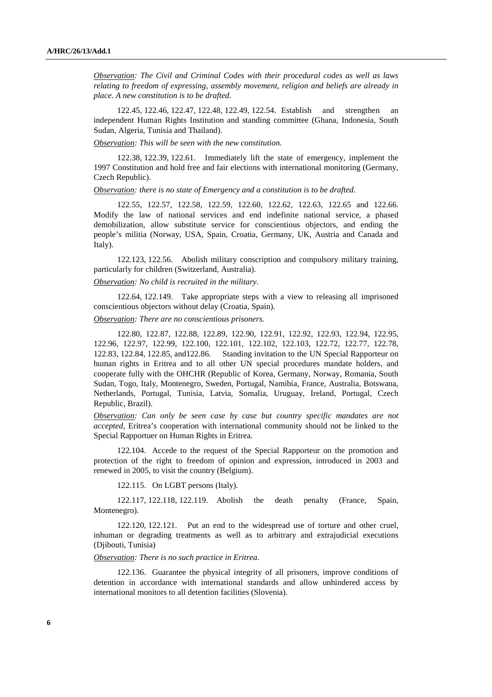*Observation: The Civil and Criminal Codes with their procedural codes as well as laws relating to freedom of expressing, assembly movement, religion and beliefs are already in place. A new constitution is to be drafted.* 

122.45, 122.46, 122.47, 122.48, 122.49, 122.54. Establish and strengthen an independent Human Rights Institution and standing committee (Ghana, Indonesia, South Sudan, Algeria, Tunisia and Thailand).

*Observation: This will be seen with the new constitution.* 

122.38, 122.39, 122.61. Immediately lift the state of emergency, implement the 1997 Constitution and hold free and fair elections with international monitoring (Germany, Czech Republic).

*Observation: there is no state of Emergency and a constitution is to be drafted.* 

122.55, 122.57, 122.58, 122.59, 122.60, 122.62, 122.63, 122.65 and 122.66. Modify the law of national services and end indefinite national service, a phased demobilization, allow substitute service for conscientious objectors, and ending the people's militia (Norway, USA, Spain, Croatia, Germany, UK, Austria and Canada and Italy).

122.123, 122.56. Abolish military conscription and compulsory military training, particularly for children (Switzerland, Australia).

#### *Observation: No child is recruited in the military.*

122.64, 122.149. Take appropriate steps with a view to releasing all imprisoned conscientious objectors without delay (Croatia, Spain).

*Observation: There are no conscientious prisoners.* 

122.80, 122.87, 122.88, 122.89, 122.90, 122.91, 122.92, 122.93, 122.94, 122.95, 122.96, 122.97, 122.99, 122.100, 122.101, 122.102, 122.103, 122.72, 122.77, 122.78, 122.83, 122.84, 122.85, and122.86. Standing invitation to the UN Special Rapporteur on human rights in Eritrea and to all other UN special procedures mandate holders, and cooperate fully with the OHCHR (Republic of Korea, Germany, Norway, Romania, South Sudan, Togo, Italy, Montenegro, Sweden, Portugal, Namibia, France, Australia, Botswana, Netherlands, Portugal, Tunisia, Latvia, Somalia, Uruguay, Ireland, Portugal, Czech Republic, Brazil).

*Observation: Can only be seen case by case but country specific mandates are not accepted,* Eritrea's cooperation with international community should not be linked to the Special Rapportuer on Human Rights in Eritrea.

122.104. Accede to the request of the Special Rapporteur on the promotion and protection of the right to freedom of opinion and expression, introduced in 2003 and renewed in 2005, to visit the country (Belgium).

122.115. On LGBT persons (Italy).

122.117, 122.118, 122.119. Abolish the death penalty (France, Spain, Montenegro).

122.120, 122.121. Put an end to the widespread use of torture and other cruel, inhuman or degrading treatments as well as to arbitrary and extrajudicial executions (Djibouti, Tunisia)

*Observation: There is no such practice in Eritrea.* 

122.136. Guarantee the physical integrity of all prisoners, improve conditions of detention in accordance with international standards and allow unhindered access by international monitors to all detention facilities (Slovenia).